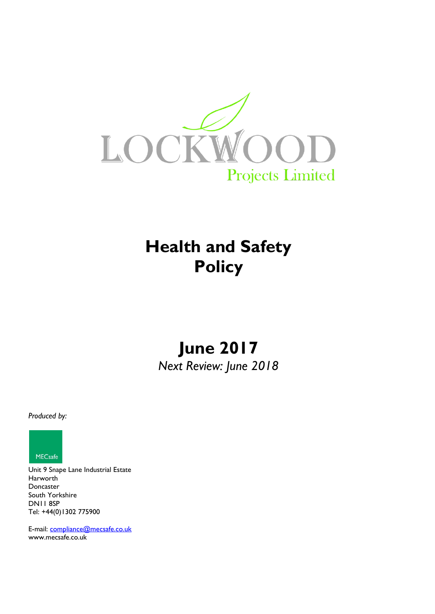

# **Health and Safety Policy**

# **June 2017** *Next Review: June 2018*

*Produced by:*



Unit 9 Snape Lane Industrial Estate Harworth Doncaster South Yorkshire DN11 8SP Tel: +44(0)1302 775900

E-mail: [compliance@mecsafe.co.uk](mailto:compliance@mecsafe.co.uk) [www.mecsafe.co.uk](http://www.mecsafe.co.uk/)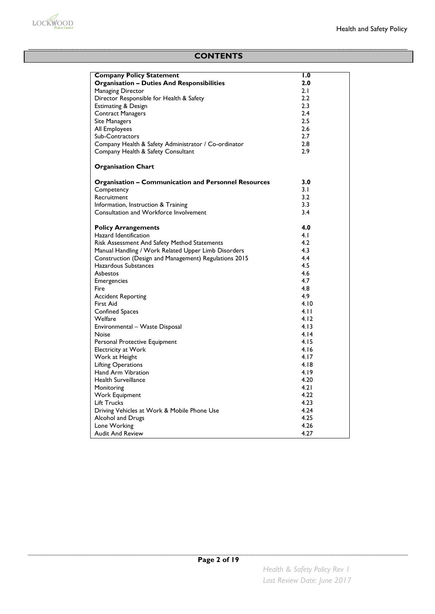

# **CONTENTS**

| <b>Company Policy Statement</b>                             | 1.0  |
|-------------------------------------------------------------|------|
| <b>Organisation - Duties And Responsibilities</b>           | 2.0  |
| Managing Director                                           | 2.1  |
| Director Responsible for Health & Safety                    | 2.2  |
| <b>Estimating &amp; Design</b>                              | 2.3  |
| <b>Contract Managers</b>                                    | 2.4  |
| <b>Site Managers</b>                                        | 2.5  |
| All Employees                                               | 2.6  |
| Sub-Contractors                                             | 2.7  |
| Company Health & Safety Administrator / Co-ordinator        | 2.8  |
| Company Health & Safety Consultant                          | 2.9  |
|                                                             |      |
| <b>Organisation Chart</b>                                   |      |
| <b>Organisation - Communication and Personnel Resources</b> | 3.0  |
| Competency                                                  | 3.1  |
| Recruitment                                                 | 3.2  |
| Information, Instruction & Training                         | 3.3  |
| Consultation and Workforce Involvement                      | 3.4  |
| <b>Policy Arrangements</b>                                  | 4.0  |
| Hazard Identification                                       | 4. I |
| Risk Assessment And Safety Method Statements                | 4.2  |
| Manual Handling / Work Related Upper Limb Disorders         | 4.3  |
| Construction (Design and Management) Regulations 2015       | 4.4  |
| Hazardous Substances                                        | 4.5  |
| Asbestos                                                    | 4.6  |
|                                                             | 4.7  |
| <b>Emergencies</b>                                          | 4.8  |
| Fire                                                        |      |
| <b>Accident Reporting</b>                                   | 4.9  |
| First Aid                                                   | 4.10 |
| <b>Confined Spaces</b>                                      | 4.11 |
| Welfare                                                     | 4.12 |
| Environmental - Waste Disposal                              | 4.13 |
| Noise                                                       | 4.14 |
| Personal Protective Equipment                               | 4.15 |
| <b>Electricity at Work</b>                                  | 4.16 |
| Work at Height                                              | 4.17 |
| <b>Lifting Operations</b>                                   | 4.18 |
| <b>Hand Arm Vibration</b>                                   | 4.19 |
| <b>Health Surveillance</b>                                  | 4.20 |
| Monitoring                                                  | 4.21 |
| Work Equipment                                              | 4.22 |
| <b>Lift Trucks</b>                                          | 4.23 |
| Driving Vehicles at Work & Mobile Phone Use                 | 4.24 |
| Alcohol and Drugs                                           | 4.25 |
| Lone Working                                                | 4.26 |
| <b>Audit And Review</b>                                     | 4.27 |
|                                                             |      |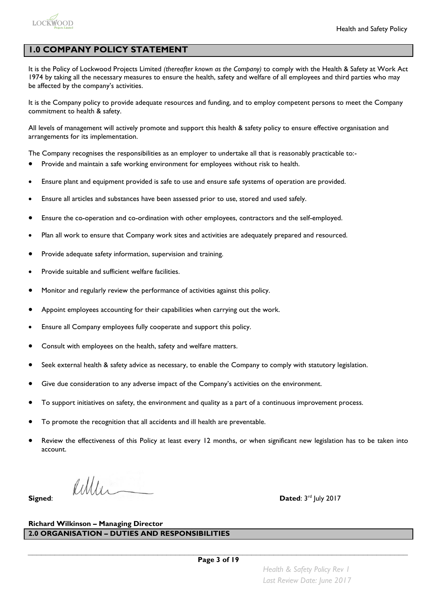

# **1.0 COMPANY POLICY STATEMENT**

It is the Policy of Lockwood Projects Limited *(thereafter known as the Company)* to comply with the Health & Safety at Work Act 1974 by taking all the necessary measures to ensure the health, safety and welfare of all employees and third parties who may be affected by the company's activities.

It is the Company policy to provide adequate resources and funding, and to employ competent persons to meet the Company commitment to health & safety.

All levels of management will actively promote and support this health & safety policy to ensure effective organisation and arrangements for its implementation.

The Company recognises the responsibilities as an employer to undertake all that is reasonably practicable to:-

- Provide and maintain a safe working environment for employees without risk to health.
- Ensure plant and equipment provided is safe to use and ensure safe systems of operation are provided.
- Ensure all articles and substances have been assessed prior to use, stored and used safely.
- Ensure the co-operation and co-ordination with other employees, contractors and the self-employed.
- Plan all work to ensure that Company work sites and activities are adequately prepared and resourced.
- Provide adequate safety information, supervision and training.
- Provide suitable and sufficient welfare facilities.
- Monitor and regularly review the performance of activities against this policy.
- Appoint employees accounting for their capabilities when carrying out the work.
- Ensure all Company employees fully cooperate and support this policy.
- Consult with employees on the health, safety and welfare matters.
- Seek external health & safety advice as necessary, to enable the Company to comply with statutory legislation.
- Give due consideration to any adverse impact of the Company's activities on the environment.
- To support initiatives on safety, the environment and quality as a part of a continuous improvement process.
- To promote the recognition that all accidents and ill health are preventable.
- Review the effectiveness of this Policy at least every 12 months, or when significant new legislation has to be taken into account.

 $lull$ **Signed**: **Dated**: 3

Dated: 3rd July 2017

### **Richard Wilkinson – Managing Director 2.0 ORGANISATION – DUTIES AND RESPONSIBILITIES**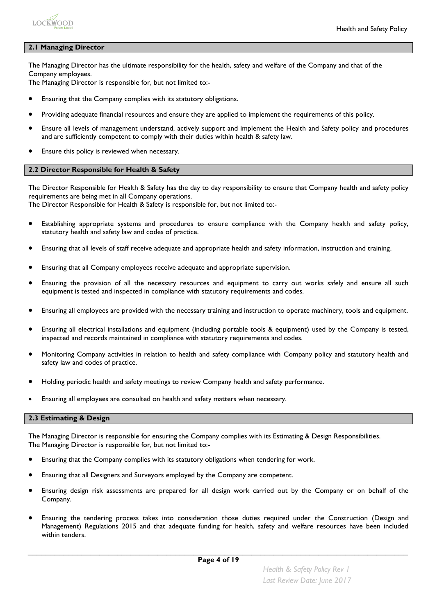

#### **2.1 Managing Director**

The Managing Director has the ultimate responsibility for the health, safety and welfare of the Company and that of the Company employees.

The Managing Director is responsible for, but not limited to:-

- Ensuring that the Company complies with its statutory obligations.
- Providing adequate financial resources and ensure they are applied to implement the requirements of this policy.
- Ensure all levels of management understand, actively support and implement the Health and Safety policy and procedures and are sufficiently competent to comply with their duties within health & safety law.
- Ensure this policy is reviewed when necessary.

#### **2.2 Director Responsible for Health & Safety**

The Director Responsible for Health & Safety has the day to day responsibility to ensure that Company health and safety policy requirements are being met in all Company operations.

The Director Responsible for Health & Safety is responsible for, but not limited to:-

- Establishing appropriate systems and procedures to ensure compliance with the Company health and safety policy, statutory health and safety law and codes of practice.
- Ensuring that all levels of staff receive adequate and appropriate health and safety information, instruction and training.
- Ensuring that all Company employees receive adequate and appropriate supervision.
- Ensuring the provision of all the necessary resources and equipment to carry out works safely and ensure all such equipment is tested and inspected in compliance with statutory requirements and codes.
- Ensuring all employees are provided with the necessary training and instruction to operate machinery, tools and equipment.
- Ensuring all electrical installations and equipment (including portable tools & equipment) used by the Company is tested, inspected and records maintained in compliance with statutory requirements and codes.
- Monitoring Company activities in relation to health and safety compliance with Company policy and statutory health and safety law and codes of practice.
- Holding periodic health and safety meetings to review Company health and safety performance.
- Ensuring all employees are consulted on health and safety matters when necessary.

#### **2.3 Estimating & Design**

The Managing Director is responsible for ensuring the Company complies with its Estimating & Design Responsibilities. The Managing Director is responsible for, but not limited to:-

- Ensuring that the Company complies with its statutory obligations when tendering for work.
- Ensuring that all Designers and Surveyors employed by the Company are competent.
- Ensuring design risk assessments are prepared for all design work carried out by the Company or on behalf of the Company.
- Ensuring the tendering process takes into consideration those duties required under the Construction (Design and Management) Regulations 2015 and that adequate funding for health, safety and welfare resources have been included within tenders.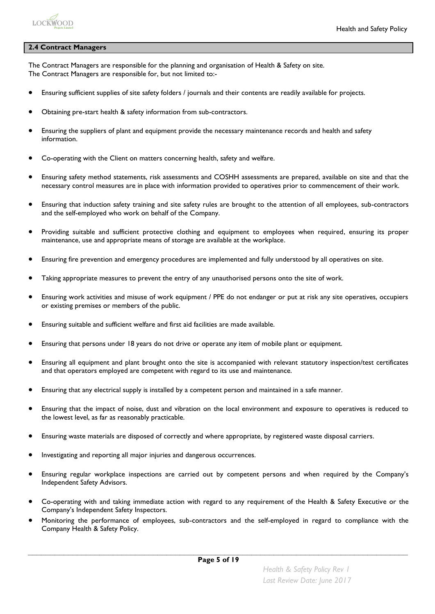

#### **2.4 Contract Managers**

The Contract Managers are responsible for the planning and organisation of Health & Safety on site. The Contract Managers are responsible for, but not limited to:-

- Ensuring sufficient supplies of site safety folders / journals and their contents are readily available for projects.
- Obtaining pre-start health & safety information from sub-contractors.
- Ensuring the suppliers of plant and equipment provide the necessary maintenance records and health and safety information.
- Co-operating with the Client on matters concerning health, safety and welfare.
- Ensuring safety method statements, risk assessments and COSHH assessments are prepared, available on site and that the necessary control measures are in place with information provided to operatives prior to commencement of their work.
- Ensuring that induction safety training and site safety rules are brought to the attention of all employees, sub-contractors and the self-employed who work on behalf of the Company.
- Providing suitable and sufficient protective clothing and equipment to employees when required, ensuring its proper maintenance, use and appropriate means of storage are available at the workplace.
- Ensuring fire prevention and emergency procedures are implemented and fully understood by all operatives on site.
- Taking appropriate measures to prevent the entry of any unauthorised persons onto the site of work.
- Ensuring work activities and misuse of work equipment / PPE do not endanger or put at risk any site operatives, occupiers or existing premises or members of the public.
- Ensuring suitable and sufficient welfare and first aid facilities are made available.
- Ensuring that persons under 18 years do not drive or operate any item of mobile plant or equipment.
- Ensuring all equipment and plant brought onto the site is accompanied with relevant statutory inspection/test certificates and that operators employed are competent with regard to its use and maintenance.
- Ensuring that any electrical supply is installed by a competent person and maintained in a safe manner.
- Ensuring that the impact of noise, dust and vibration on the local environment and exposure to operatives is reduced to the lowest level, as far as reasonably practicable.
- Ensuring waste materials are disposed of correctly and where appropriate, by registered waste disposal carriers.
- Investigating and reporting all major injuries and dangerous occurrences.
- Ensuring regular workplace inspections are carried out by competent persons and when required by the Company's Independent Safety Advisors.
- Co-operating with and taking immediate action with regard to any requirement of the Health & Safety Executive or the Company's Independent Safety Inspectors.
- Monitoring the performance of employees, sub-contractors and the self-employed in regard to compliance with the Company Health & Safety Policy.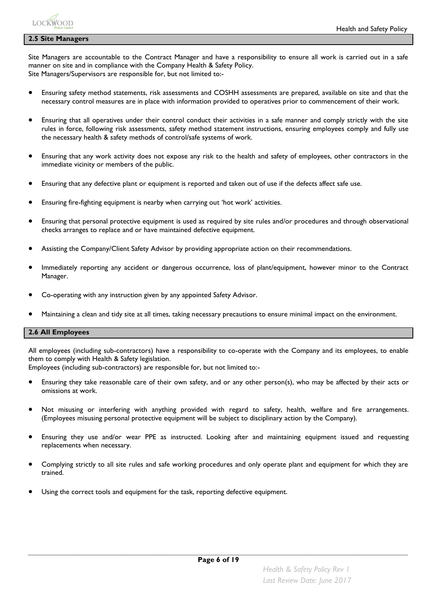#### **2.5 Site Managers**

Site Managers are accountable to the Contract Manager and have a responsibility to ensure all work is carried out in a safe manner on site and in compliance with the Company Health & Safety Policy. Site Managers/Supervisors are responsible for, but not limited to:-

- Ensuring safety method statements, risk assessments and COSHH assessments are prepared, available on site and that the necessary control measures are in place with information provided to operatives prior to commencement of their work.
- Ensuring that all operatives under their control conduct their activities in a safe manner and comply strictly with the site rules in force, following risk assessments, safety method statement instructions, ensuring employees comply and fully use the necessary health & safety methods of control/safe systems of work.
- Ensuring that any work activity does not expose any risk to the health and safety of employees, other contractors in the immediate vicinity or members of the public.
- Ensuring that any defective plant or equipment is reported and taken out of use if the defects affect safe use.
- Ensuring fire-fighting equipment is nearby when carrying out 'hot work' activities.
- Ensuring that personal protective equipment is used as required by site rules and/or procedures and through observational checks arranges to replace and or have maintained defective equipment.
- Assisting the Company/Client Safety Advisor by providing appropriate action on their recommendations.
- Immediately reporting any accident or dangerous occurrence, loss of plant/equipment, however minor to the Contract Manager.
- Co-operating with any instruction given by any appointed Safety Advisor.
- Maintaining a clean and tidy site at all times, taking necessary precautions to ensure minimal impact on the environment.

#### **2.6 All Employees**

All employees (including sub-contractors) have a responsibility to co-operate with the Company and its employees, to enable them to comply with Health & Safety legislation.

Employees (including sub-contractors) are responsible for, but not limited to:-

- Ensuring they take reasonable care of their own safety, and or any other person(s), who may be affected by their acts or omissions at work.
- Not misusing or interfering with anything provided with regard to safety, health, welfare and fire arrangements. (Employees misusing personal protective equipment will be subject to disciplinary action by the Company).
- Ensuring they use and/or wear PPE as instructed. Looking after and maintaining equipment issued and requesting replacements when necessary.
- Complying strictly to all site rules and safe working procedures and only operate plant and equipment for which they are trained.
- Using the correct tools and equipment for the task, reporting defective equipment.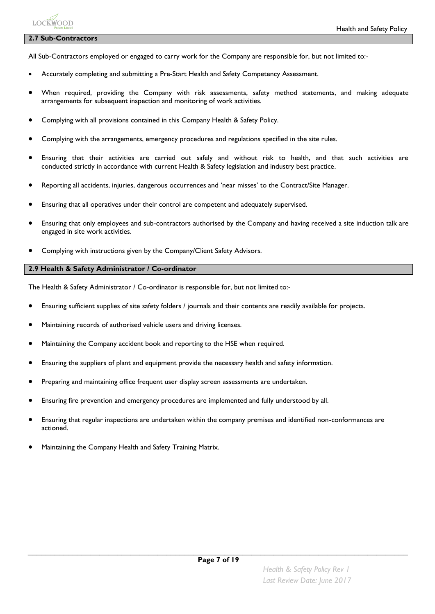### **2.7 Sub-Contractors**

LOCKWOOD

All Sub-Contractors employed or engaged to carry work for the Company are responsible for, but not limited to:-

- Accurately completing and submitting a Pre-Start Health and Safety Competency Assessment.
- When required, providing the Company with risk assessments, safety method statements, and making adequate arrangements for subsequent inspection and monitoring of work activities.
- Complying with all provisions contained in this Company Health & Safety Policy.
- Complying with the arrangements, emergency procedures and regulations specified in the site rules.
- Ensuring that their activities are carried out safely and without risk to health, and that such activities are conducted strictly in accordance with current Health & Safety legislation and industry best practice.
- Reporting all accidents, injuries, dangerous occurrences and 'near misses' to the Contract/Site Manager.
- Ensuring that all operatives under their control are competent and adequately supervised.
- Ensuring that only employees and sub-contractors authorised by the Company and having received a site induction talk are engaged in site work activities.
- Complying with instructions given by the Company/Client Safety Advisors.

#### **2.9 Health & Safety Administrator / Co-ordinator**

The Health & Safety Administrator / Co-ordinator is responsible for, but not limited to:-

- Ensuring sufficient supplies of site safety folders / journals and their contents are readily available for projects.
- Maintaining records of authorised vehicle users and driving licenses.
- Maintaining the Company accident book and reporting to the HSE when required.
- Ensuring the suppliers of plant and equipment provide the necessary health and safety information.
- Preparing and maintaining office frequent user display screen assessments are undertaken.
- Ensuring fire prevention and emergency procedures are implemented and fully understood by all.
- Ensuring that regular inspections are undertaken within the company premises and identified non-conformances are actioned.
- Maintaining the Company Health and Safety Training Matrix.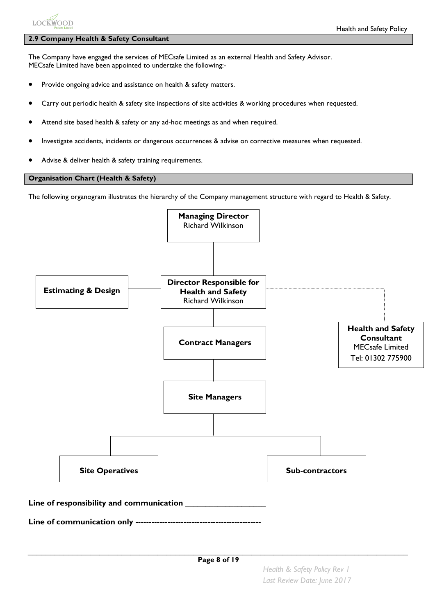# **LOCKWOOD**

# **2.9 Company Health & Safety Consultant**

The Company have engaged the services of MECsafe Limited as an external Health and Safety Advisor. MECsafe Limited have been appointed to undertake the following:-

- Provide ongoing advice and assistance on health & safety matters.
- Carry out periodic health & safety site inspections of site activities & working procedures when requested.
- Attend site based health & safety or any ad-hoc meetings as and when required.
- Investigate accidents, incidents or dangerous occurrences & advise on corrective measures when requested.
- Advise & deliver health & safety training requirements.

## **Organisation Chart (Health & Safety)**

The following organogram illustrates the hierarchy of the Company management structure with regard to Health & Safety.

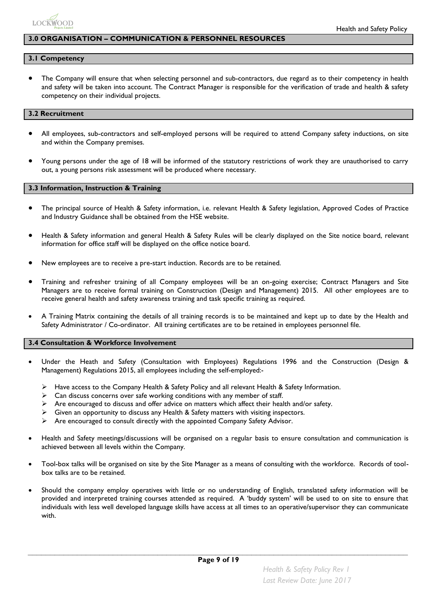

#### **3.0 ORGANISATION – COMMUNICATION & PERSONNEL RESOURCES**

#### **3.1 Competency**

 The Company will ensure that when selecting personnel and sub-contractors, due regard as to their competency in health and safety will be taken into account. The Contract Manager is responsible for the verification of trade and health & safety competency on their individual projects.

#### **3.2 Recruitment**

- All employees, sub-contractors and self-employed persons will be required to attend Company safety inductions, on site and within the Company premises.
- Young persons under the age of 18 will be informed of the statutory restrictions of work they are unauthorised to carry out, a young persons risk assessment will be produced where necessary.

#### **3.3 Information, Instruction & Training**

- The principal source of Health & Safety information, i.e. relevant Health & Safety legislation, Approved Codes of Practice and Industry Guidance shall be obtained from the HSE website.
- Health & Safety information and general Health & Safety Rules will be clearly displayed on the Site notice board, relevant information for office staff will be displayed on the office notice board.
- New employees are to receive a pre-start induction. Records are to be retained.
- Training and refresher training of all Company employees will be an on-going exercise; Contract Managers and Site Managers are to receive formal training on Construction (Design and Management) 2015. All other employees are to receive general health and safety awareness training and task specific training as required.
- A Training Matrix containing the details of all training records is to be maintained and kept up to date by the Health and Safety Administrator / Co-ordinator. All training certificates are to be retained in employees personnel file.

#### **3.4 Consultation & Workforce Involvement**

- Under the Heath and Safety (Consultation with Employees) Regulations 1996 and the Construction (Design & Management) Regulations 2015, all employees including the self-employed:-
	- $\triangleright$  Have access to the Company Health & Safety Policy and all relevant Health & Safety Information.
	- $\triangleright$  Can discuss concerns over safe working conditions with any member of staff.
	- $\triangleright$  Are encouraged to discuss and offer advice on matters which affect their health and/or safety.
	- $\triangleright$  Given an opportunity to discuss any Health & Safety matters with visiting inspectors.
	- $\triangleright$  Are encouraged to consult directly with the appointed Company Safety Advisor.
- Health and Safety meetings/discussions will be organised on a regular basis to ensure consultation and communication is achieved between all levels within the Company.
- Tool-box talks will be organised on site by the Site Manager as a means of consulting with the workforce. Records of toolbox talks are to be retained.
- Should the company employ operatives with little or no understanding of English, translated safety information will be provided and interpreted training courses attended as required. A 'buddy system' will be used to on site to ensure that individuals with less well developed language skills have access at all times to an operative/supervisor they can communicate with.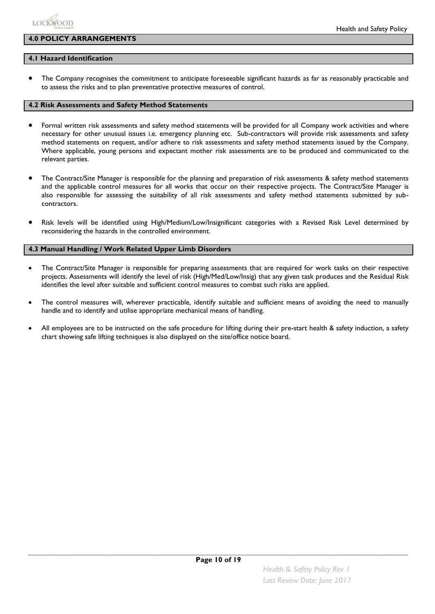

#### **4.0 POLICY ARRANGEMENTS**

#### **4.1 Hazard Identification**

 The Company recognises the commitment to anticipate foreseeable significant hazards as far as reasonably practicable and to assess the risks and to plan preventative protective measures of control.

#### **4.2 Risk Assessments and Safety Method Statements**

- Formal written risk assessments and safety method statements will be provided for all Company work activities and where necessary for other unusual issues i.e. emergency planning etc. Sub-contractors will provide risk assessments and safety method statements on request, and/or adhere to risk assessments and safety method statements issued by the Company. Where applicable, young persons and expectant mother risk assessments are to be produced and communicated to the relevant parties.
- The Contract/Site Manager is responsible for the planning and preparation of risk assessments & safety method statements and the applicable control measures for all works that occur on their respective projects. The Contract/Site Manager is also responsible for assessing the suitability of all risk assessments and safety method statements submitted by subcontractors.
- Risk levels will be identified using High/Medium/Low/Insignificant categories with a Revised Risk Level determined by reconsidering the hazards in the controlled environment.

#### **4.3 Manual Handling / Work Related Upper Limb Disorders**

- The Contract/Site Manager is responsible for preparing assessments that are required for work tasks on their respective projects. Assessments will identify the level of risk (High/Med/Low/Insig) that any given task produces and the Residual Risk identifies the level after suitable and sufficient control measures to combat such risks are applied.
- The control measures will, wherever practicable, identify suitable and sufficient means of avoiding the need to manually handle and to identify and utilise appropriate mechanical means of handling.
- All employees are to be instructed on the safe procedure for lifting during their pre-start health & safety induction, a safety chart showing safe lifting techniques is also displayed on the site/office notice board.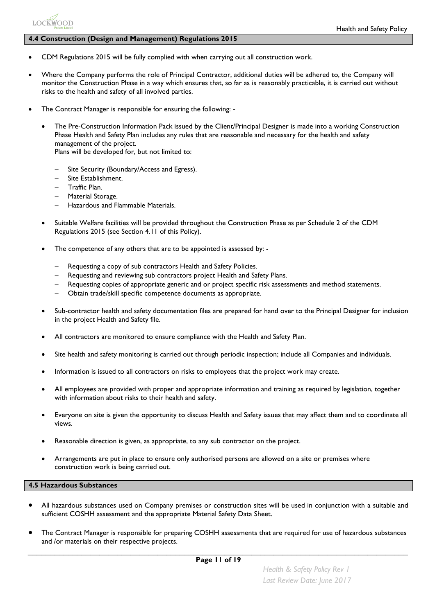#### **4.4 Construction (Design and Management) Regulations 2015**

- CDM Regulations 2015 will be fully complied with when carrying out all construction work.
- Where the Company performs the role of Principal Contractor, additional duties will be adhered to, the Company will monitor the Construction Phase in a way which ensures that, so far as is reasonably practicable, it is carried out without risks to the health and safety of all involved parties.
- The Contract Manager is responsible for ensuring the following:
	- The Pre-Construction Information Pack issued by the Client/Principal Designer is made into a working Construction Phase Health and Safety Plan includes any rules that are reasonable and necessary for the health and safety management of the project. Plans will be developed for, but not limited to:
		- Site Security (Boundary/Access and Egress).
		- Site Establishment.
		- Traffic Plan.

**LOCKWOOD** 

- Material Storage.
- Hazardous and Flammable Materials.
- Suitable Welfare facilities will be provided throughout the Construction Phase as per Schedule 2 of the CDM Regulations 2015 (see Section 4.11 of this Policy).
- The competence of any others that are to be appointed is assessed by:
	- Requesting a copy of sub contractors Health and Safety Policies.
	- Requesting and reviewing sub contractors project Health and Safety Plans.
	- Requesting copies of appropriate generic and or project specific risk assessments and method statements.
	- Obtain trade/skill specific competence documents as appropriate.
- Sub-contractor health and safety documentation files are prepared for hand over to the Principal Designer for inclusion in the project Health and Safety file.
- All contractors are monitored to ensure compliance with the Health and Safety Plan.
- Site health and safety monitoring is carried out through periodic inspection; include all Companies and individuals.
- Information is issued to all contractors on risks to employees that the project work may create.
- All employees are provided with proper and appropriate information and training as required by legislation, together with information about risks to their health and safety.
- Everyone on site is given the opportunity to discuss Health and Safety issues that may affect them and to coordinate all views.
- Reasonable direction is given, as appropriate, to any sub contractor on the project.
- Arrangements are put in place to ensure only authorised persons are allowed on a site or premises where construction work is being carried out.

#### **4.5 Hazardous Substances**

- All hazardous substances used on Company premises or construction sites will be used in conjunction with a suitable and sufficient COSHH assessment and the appropriate Material Safety Data Sheet.
- The Contract Manager is responsible for preparing COSHH assessments that are required for use of hazardous substances and /or materials on their respective projects.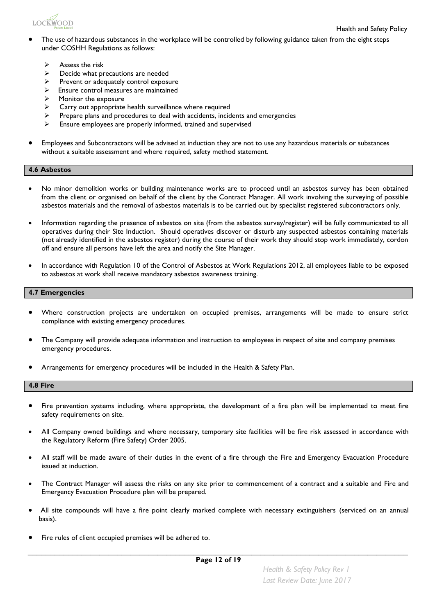

- The use of hazardous substances in the workplace will be controlled by following guidance taken from the eight steps under COSHH Regulations as follows:
	- $\triangleright$  Assess the risk
	- $\triangleright$  Decide what precautions are needed
	- $\triangleright$  Prevent or adequately control exposure
	- $\triangleright$  Ensure control measures are maintained
	- $\triangleright$  Monitor the exposure
	- $\triangleright$  Carry out appropriate health surveillance where required
	- Prepare plans and procedures to deal with accidents, incidents and emergencies
	- $\triangleright$  Ensure employees are properly informed, trained and supervised
- Employees and Subcontractors will be advised at induction they are not to use any hazardous materials or substances without a suitable assessment and where required, safety method statement.

#### **4.6 Asbestos**

- No minor demolition works or building maintenance works are to proceed until an asbestos survey has been obtained from the client or organised on behalf of the client by the Contract Manager. All work involving the surveying of possible asbestos materials and the removal of asbestos materials is to be carried out by specialist registered subcontractors only.
- Information regarding the presence of asbestos on site (from the asbestos survey/register) will be fully communicated to all operatives during their Site Induction. Should operatives discover or disturb any suspected asbestos containing materials (not already identified in the asbestos register) during the course of their work they should stop work immediately, cordon off and ensure all persons have left the area and notify the Site Manager.
- In accordance with Regulation 10 of the Control of Asbestos at Work Regulations 2012, all employees liable to be exposed to asbestos at work shall receive mandatory asbestos awareness training.

#### **4.7 Emergencies**

- Where construction projects are undertaken on occupied premises, arrangements will be made to ensure strict compliance with existing emergency procedures.
- The Company will provide adequate information and instruction to employees in respect of site and company premises emergency procedures.
- Arrangements for emergency procedures will be included in the Health & Safety Plan.

#### **4.8 Fire**

- Fire prevention systems including, where appropriate, the development of a fire plan will be implemented to meet fire safety requirements on site.
- All Company owned buildings and where necessary, temporary site facilities will be fire risk assessed in accordance with the Regulatory Reform (Fire Safety) Order 2005.
- All staff will be made aware of their duties in the event of a fire through the Fire and Emergency Evacuation Procedure issued at induction.
- The Contract Manager will assess the risks on any site prior to commencement of a contract and a suitable and Fire and Emergency Evacuation Procedure plan will be prepared.
- All site compounds will have a fire point clearly marked complete with necessary extinguishers (serviced on an annual basis).
- Fire rules of client occupied premises will be adhered to.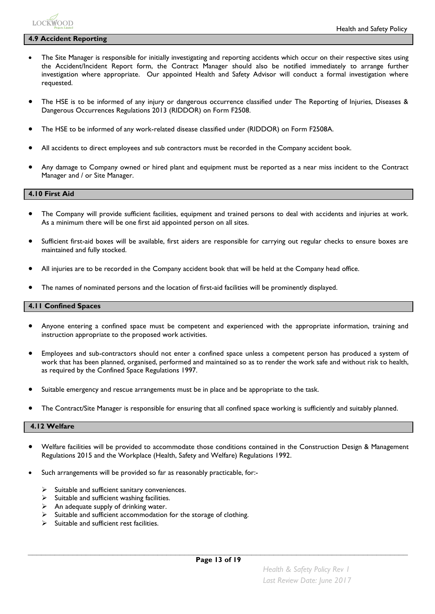

#### **4.9 Accident Reporting**

- The Site Manager is responsible for initially investigating and reporting accidents which occur on their respective sites using the Accident/Incident Report form, the Contract Manager should also be notified immediately to arrange further investigation where appropriate. Our appointed Health and Safety Advisor will conduct a formal investigation where requested.
- The HSE is to be informed of any injury or dangerous occurrence classified under The Reporting of Injuries, Diseases & Dangerous Occurrences Regulations 2013 (RIDDOR) on Form F2508.
- The HSE to be informed of any work-related disease classified under (RIDDOR) on Form F2508A.
- All accidents to direct employees and sub contractors must be recorded in the Company accident book.
- Any damage to Company owned or hired plant and equipment must be reported as a near miss incident to the Contract Manager and / or Site Manager.

#### **4.10 First Aid**

- The Company will provide sufficient facilities, equipment and trained persons to deal with accidents and injuries at work. As a minimum there will be one first aid appointed person on all sites.
- Sufficient first-aid boxes will be available, first aiders are responsible for carrying out regular checks to ensure boxes are maintained and fully stocked.
- All injuries are to be recorded in the Company accident book that will be held at the Company head office.
- The names of nominated persons and the location of first-aid facilities will be prominently displayed.

#### **4.11 Confined Spaces**

- Anyone entering a confined space must be competent and experienced with the appropriate information, training and instruction appropriate to the proposed work activities.
- Employees and sub-contractors should not enter a confined space unless a competent person has produced a system of work that has been planned, organised, performed and maintained so as to render the work safe and without risk to health, as required by the Confined Space Regulations 1997.
- Suitable emergency and rescue arrangements must be in place and be appropriate to the task.
- The Contract/Site Manager is responsible for ensuring that all confined space working is sufficiently and suitably planned.

#### **4.12 Welfare**

- Welfare facilities will be provided to accommodate those conditions contained in the Construction Design & Management Regulations 2015 and the Workplace (Health, Safety and Welfare) Regulations 1992.
- Such arrangements will be provided so far as reasonably practicable, for:-
	- $\triangleright$  Suitable and sufficient sanitary conveniences.
	- $\triangleright$  Suitable and sufficient washing facilities.
	- $\triangleright$  An adequate supply of drinking water.
	- Suitable and sufficient accommodation for the storage of clothing.
	- Suitable and sufficient rest facilities.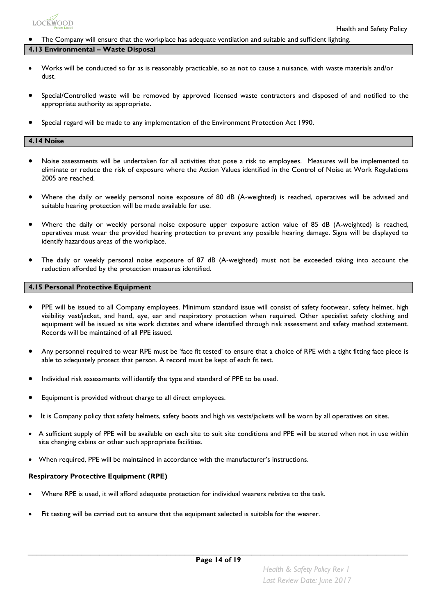

#### The Company will ensure that the workplace has adequate ventilation and suitable and sufficient lighting.

#### **4.13 Environmental – Waste Disposal**

- Works will be conducted so far as is reasonably practicable, so as not to cause a nuisance, with waste materials and/or dust.
- Special/Controlled waste will be removed by approved licensed waste contractors and disposed of and notified to the appropriate authority as appropriate.
- Special regard will be made to any implementation of the Environment Protection Act 1990.

#### **4.14 Noise**

- Noise assessments will be undertaken for all activities that pose a risk to employees. Measures will be implemented to eliminate or reduce the risk of exposure where the Action Values identified in the Control of Noise at Work Regulations 2005 are reached.
- Where the daily or weekly personal noise exposure of 80 dB (A-weighted) is reached, operatives will be advised and suitable hearing protection will be made available for use.
- Where the daily or weekly personal noise exposure upper exposure action value of 85 dB (A-weighted) is reached, operatives must wear the provided hearing protection to prevent any possible hearing damage. Signs will be displayed to identify hazardous areas of the workplace.
- The daily or weekly personal noise exposure of 87 dB (A-weighted) must not be exceeded taking into account the reduction afforded by the protection measures identified.

#### **4.15 Personal Protective Equipment**

- PPE will be issued to all Company employees. Minimum standard issue will consist of safety footwear, safety helmet, high visibility vest/jacket, and hand, eye, ear and respiratory protection when required. Other specialist safety clothing and equipment will be issued as site work dictates and where identified through risk assessment and safety method statement. Records will be maintained of all PPE issued.
- Any personnel required to wear RPE must be 'face fit tested' to ensure that a choice of RPE with a tight fitting face piece is able to adequately protect that person. A record must be kept of each fit test.
- Individual risk assessments will identify the type and standard of PPE to be used.
- Equipment is provided without charge to all direct employees.
- It is Company policy that safety helmets, safety boots and high vis vests/jackets will be worn by all operatives on sites.
- A sufficient supply of PPE will be available on each site to suit site conditions and PPE will be stored when not in use within site changing cabins or other such appropriate facilities.
- When required, PPE will be maintained in accordance with the manufacturer's instructions.

#### **Respiratory Protective Equipment (RPE)**

- Where RPE is used, it will afford adequate protection for individual wearers relative to the task.
- Fit testing will be carried out to ensure that the equipment selected is suitable for the wearer.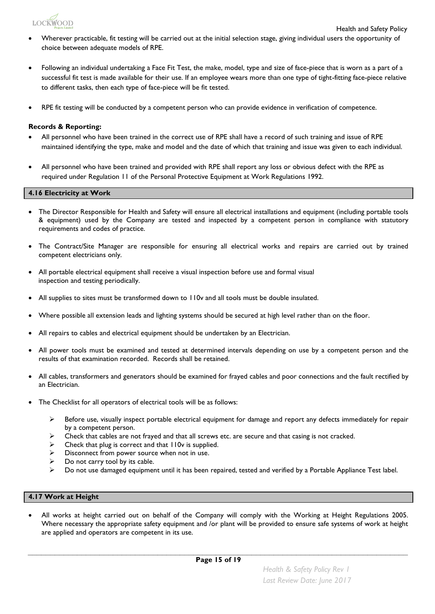

- Wherever practicable, fit testing will be carried out at the initial selection stage, giving individual users the opportunity of choice between adequate models of RPE.
- Following an individual undertaking a Face Fit Test, the make, model, type and size of face-piece that is worn as a part of a successful fit test is made available for their use. If an employee wears more than one type of tight-fitting face-piece relative to different tasks, then each type of face-piece will be fit tested.
- RPE fit testing will be conducted by a competent person who can provide evidence in verification of competence.

#### **Records & Reporting:**

- All personnel who have been trained in the correct use of RPE shall have a record of such training and issue of RPE maintained identifying the type, make and model and the date of which that training and issue was given to each individual.
- All personnel who have been trained and provided with RPE shall report any loss or obvious defect with the RPE as required under Regulation 11 of the Personal Protective Equipment at Work Regulations 1992.

#### **4.16 Electricity at Work**

- The Director Responsible for Health and Safety will ensure all electrical installations and equipment (including portable tools & equipment) used by the Company are tested and inspected by a competent person in compliance with statutory requirements and codes of practice.
- The Contract/Site Manager are responsible for ensuring all electrical works and repairs are carried out by trained competent electricians only.
- All portable electrical equipment shall receive a visual inspection before use and formal visual inspection and testing periodically.
- All supplies to sites must be transformed down to 110v and all tools must be double insulated.
- Where possible all extension leads and lighting systems should be secured at high level rather than on the floor.
- All repairs to cables and electrical equipment should be undertaken by an Electrician.
- All power tools must be examined and tested at determined intervals depending on use by a competent person and the results of that examination recorded. Records shall be retained.
- All cables, transformers and generators should be examined for frayed cables and poor connections and the fault rectified by an Electrician.
- The Checklist for all operators of electrical tools will be as follows:
	- $\triangleright$  Before use, visually inspect portable electrical equipment for damage and report any defects immediately for repair by a competent person.
	- $\triangleright$  Check that cables are not frayed and that all screws etc. are secure and that casing is not cracked.
	- $\triangleright$  Check that plug is correct and that  $110v$  is supplied.
	- $\triangleright$  Disconnect from power source when not in use.
	- $\triangleright$  Do not carry tool by its cable.
	- $\triangleright$  Do not use damaged equipment until it has been repaired, tested and verified by a Portable Appliance Test label.

#### **4.17 Work at Height**

 All works at height carried out on behalf of the Company will comply with the Working at Height Regulations 2005. Where necessary the appropriate safety equipment and /or plant will be provided to ensure safe systems of work at height are applied and operators are competent in its use.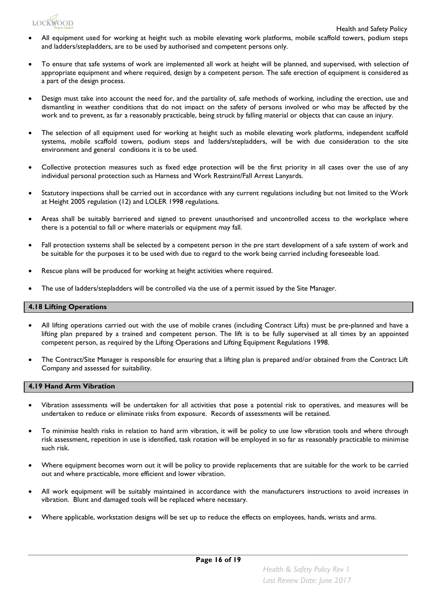

- All equipment used for working at height such as mobile elevating work platforms, mobile scaffold towers, podium steps and ladders/stepladders, are to be used by authorised and competent persons only.
- To ensure that safe systems of work are implemented all work at height will be planned, and supervised, with selection of appropriate equipment and where required, design by a competent person. The safe erection of equipment is considered as a part of the design process.
- Design must take into account the need for, and the partiality of, safe methods of working, including the erection, use and dismantling in weather conditions that do not impact on the safety of persons involved or who may be affected by the work and to prevent, as far a reasonably practicable, being struck by falling material or objects that can cause an injury.
- The selection of all equipment used for working at height such as mobile elevating work platforms, independent scaffold systems, mobile scaffold towers, podium steps and ladders/stepladders, will be with due consideration to the site environment and general conditions it is to be used.
- Collective protection measures such as fixed edge protection will be the first priority in all cases over the use of any individual personal protection such as Harness and Work Restraint/Fall Arrest Lanyards.
- Statutory inspections shall be carried out in accordance with any current regulations including but not limited to the Work at Height 2005 regulation (12) and LOLER 1998 regulations.
- Areas shall be suitably barriered and signed to prevent unauthorised and uncontrolled access to the workplace where there is a potential to fall or where materials or equipment may fall.
- Fall protection systems shall be selected by a competent person in the pre start development of a safe system of work and be suitable for the purposes it to be used with due to regard to the work being carried including foreseeable load.
- Rescue plans will be produced for working at height activities where required.
- The use of ladders/stepladders will be controlled via the use of a permit issued by the Site Manager.

#### **4.18 Lifting Operations**

- All lifting operations carried out with the use of mobile cranes (including Contract Lifts) must be pre-planned and have a lifting plan prepared by a trained and competent person. The lift is to be fully supervised at all times by an appointed competent person, as required by the Lifting Operations and Lifting Equipment Regulations 1998.
- The Contract/Site Manager is responsible for ensuring that a lifting plan is prepared and/or obtained from the Contract Lift Company and assessed for suitability.

#### **4.19 Hand Arm Vibration**

- Vibration assessments will be undertaken for all activities that pose a potential risk to operatives, and measures will be undertaken to reduce or eliminate risks from exposure. Records of assessments will be retained.
- To minimise health risks in relation to hand arm vibration, it will be policy to use low vibration tools and where through risk assessment, repetition in use is identified, task rotation will be employed in so far as reasonably practicable to minimise such risk.
- Where equipment becomes worn out it will be policy to provide replacements that are suitable for the work to be carried out and where practicable, more efficient and lower vibration.
- All work equipment will be suitably maintained in accordance with the manufacturers instructions to avoid increases in vibration. Blunt and damaged tools will be replaced where necessary.
- Where applicable, workstation designs will be set up to reduce the effects on employees, hands, wrists and arms.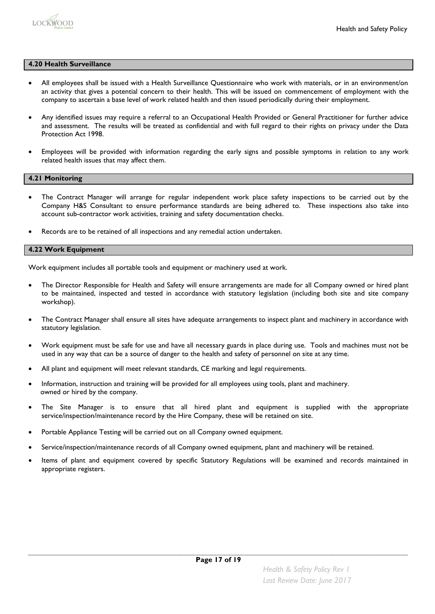

#### **4.20 Health Surveillance**

- All employees shall be issued with a Health Surveillance Questionnaire who work with materials, or in an environment/on an activity that gives a potential concern to their health. This will be issued on commencement of employment with the company to ascertain a base level of work related health and then issued periodically during their employment.
- Any identified issues may require a referral to an Occupational Health Provided or General Practitioner for further advice and assessment. The results will be treated as confidential and with full regard to their rights on privacy under the Data Protection Act 1998.
- Employees will be provided with information regarding the early signs and possible symptoms in relation to any work related health issues that may affect them.

#### **4.21 Monitoring**

- The Contract Manager will arrange for regular independent work place safety inspections to be carried out by the Company H&S Consultant to ensure performance standards are being adhered to. These inspections also take into account sub-contractor work activities, training and safety documentation checks.
- Records are to be retained of all inspections and any remedial action undertaken.

#### **4.22 Work Equipment**

Work equipment includes all portable tools and equipment or machinery used at work.

- The Director Responsible for Health and Safety will ensure arrangements are made for all Company owned or hired plant to be maintained, inspected and tested in accordance with statutory legislation (including both site and site company workshop).
- The Contract Manager shall ensure all sites have adequate arrangements to inspect plant and machinery in accordance with statutory legislation.
- Work equipment must be safe for use and have all necessary guards in place during use. Tools and machines must not be used in any way that can be a source of danger to the health and safety of personnel on site at any time.
- All plant and equipment will meet relevant standards, CE marking and legal requirements.
- Information, instruction and training will be provided for all employees using tools, plant and machinery. owned or hired by the company.
- The Site Manager is to ensure that all hired plant and equipment is supplied with the appropriate service/inspection/maintenance record by the Hire Company, these will be retained on site.
- Portable Appliance Testing will be carried out on all Company owned equipment.
- Service/inspection/maintenance records of all Company owned equipment, plant and machinery will be retained.
- Items of plant and equipment covered by specific Statutory Regulations will be examined and records maintained in appropriate registers.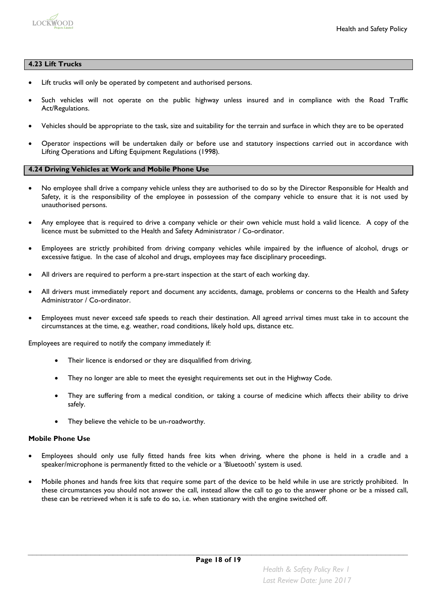

#### **4.23 Lift Trucks**

- Lift trucks will only be operated by competent and authorised persons.
- Such vehicles will not operate on the public highway unless insured and in compliance with the Road Traffic Act/Regulations.
- Vehicles should be appropriate to the task, size and suitability for the terrain and surface in which they are to be operated
- Operator inspections will be undertaken daily or before use and statutory inspections carried out in accordance with Lifting Operations and Lifting Equipment Regulations (1998).

#### **4.24 Driving Vehicles at Work and Mobile Phone Use**

- No employee shall drive a company vehicle unless they are authorised to do so by the Director Responsible for Health and Safety, it is the responsibility of the employee in possession of the company vehicle to ensure that it is not used by unauthorised persons.
- Any employee that is required to drive a company vehicle or their own vehicle must hold a valid licence. A copy of the licence must be submitted to the Health and Safety Administrator / Co-ordinator.
- Employees are strictly prohibited from driving company vehicles while impaired by the influence of alcohol, drugs or excessive fatigue. In the case of alcohol and drugs, employees may face disciplinary proceedings.
- All drivers are required to perform a pre-start inspection at the start of each working day.
- All drivers must immediately report and document any accidents, damage, problems or concerns to the Health and Safety Administrator / Co-ordinator.
- Employees must never exceed safe speeds to reach their destination. All agreed arrival times must take in to account the circumstances at the time, e.g. weather, road conditions, likely hold ups, distance etc.

Employees are required to notify the company immediately if:

- Their licence is endorsed or they are disqualified from driving.
- They no longer are able to meet the eyesight requirements set out in the Highway Code.
- They are suffering from a medical condition, or taking a course of medicine which affects their ability to drive safely.
- They believe the vehicle to be un-roadworthy.

#### **Mobile Phone Use**

- Employees should only use fully fitted hands free kits when driving, where the phone is held in a cradle and a speaker/microphone is permanently fitted to the vehicle or a 'Bluetooth' system is used.
- Mobile phones and hands free kits that require some part of the device to be held while in use are strictly prohibited. In these circumstances you should not answer the call, instead allow the call to go to the answer phone or be a missed call, these can be retrieved when it is safe to do so, i.e. when stationary with the engine switched off.